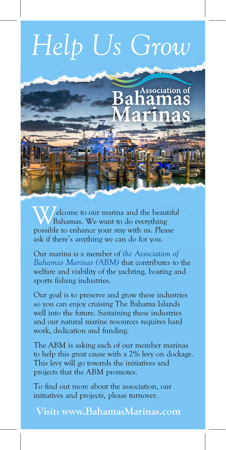## *Help Us Grow*



elcome to our marina and the beautiful Bahamas. We want to do everything **Welcome to our marina and the beautiful Bahamas.** We want to do everything possible to enhance your stay with us. Please ask if there's anything we can do for you.

Our marina is a member of *the Association of Bahamas Marinas (ABM)* that contributes to the welfare and viability of the yachting, boating and sports fishing industries.

Our goal is to preserve and grow these industries so you can enjoy cruising The Bahama Islands well into the future. Sustaining these industries and our natural marine resources requires hard work, dedication and funding.

The ABM is asking each of our member marinas to help this great cause with a 2% levy on dockage. This levy will go towards the initiatives and projects that the ABM promotes.

To find out more about the association, our initiatives and projects, please turnover.

 **Visit: www.BahamasMarinas.com**